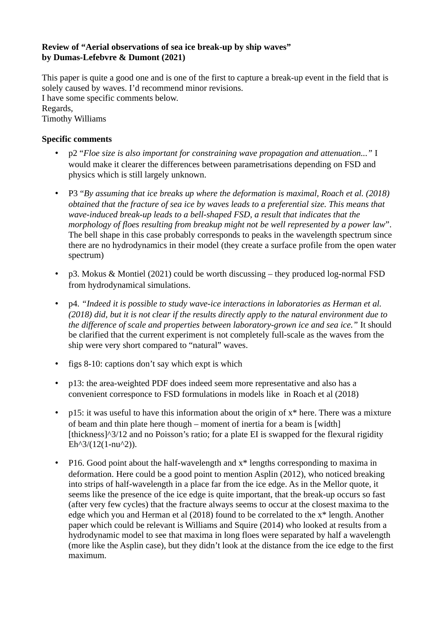## **Review of "Aerial observations of sea ice break-up by ship waves" by Dumas-Lefebvre & Dumont (2021)**

This paper is quite a good one and is one of the first to capture a break-up event in the field that is solely caused by waves. I'd recommend minor revisions. I have some specific comments below. Regards, Timothy Williams

## **Specific comments**

- p2 "*Floe size is also important for constraining wave propagation and attenuation..."* I would make it clearer the differences between parametrisations depending on FSD and physics which is still largely unknown.
- P3 "*By assuming that ice breaks up where the deformation is maximal, Roach et al. (2018) obtained that the fracture of sea ice by waves leads to a preferential size. This means that wave-induced break-up leads to a bell-shaped FSD, a result that indicates that the morphology of floes resulting from breakup might not be well represented by a power law*". The bell shape in this case probably corresponds to peaks in the wavelength spectrum since there are no hydrodynamics in their model (they create a surface profile from the open water spectrum)
- p3. Mokus & Montiel (2021) could be worth discussing they produced log-normal FSD from hydrodynamical simulations.
- p4. *"Indeed it is possible to study wave-ice interactions in laboratories as Herman et al. (2018) did, but it is not clear if the results directly apply to the natural environment due to the difference of scale and properties between laboratory-grown ice and sea ice."* It should be clarified that the current experiment is not completely full-scale as the waves from the ship were very short compared to "natural" waves.
- figs 8-10: captions don't say which expt is which
- p13: the area-weighted PDF does indeed seem more representative and also has a convenient corresponce to FSD formulations in models like in Roach et al (2018)
- p15: it was useful to have this information about the origin of  $x^*$  here. There was a mixture of beam and thin plate here though – moment of inertia for a beam is [width] [thickness] $\frac{3}{12}$  and no Poisson's ratio; for a plate EI is swapped for the flexural rigidity  $Eh^{3}/(12(1-nu^{2})).$
- P16. Good point about the half-wavelength and x\* lengths corresponding to maxima in deformation. Here could be a good point to mention Asplin (2012), who noticed breaking into strips of half-wavelength in a place far from the ice edge. As in the Mellor quote, it seems like the presence of the ice edge is quite important, that the break-up occurs so fast (after very few cycles) that the fracture always seems to occur at the closest maxima to the edge which you and Herman et al (2018) found to be correlated to the x\* length. Another paper which could be relevant is Williams and Squire (2014) who looked at results from a hydrodynamic model to see that maxima in long floes were separated by half a wavelength (more like the Asplin case), but they didn't look at the distance from the ice edge to the first maximum.